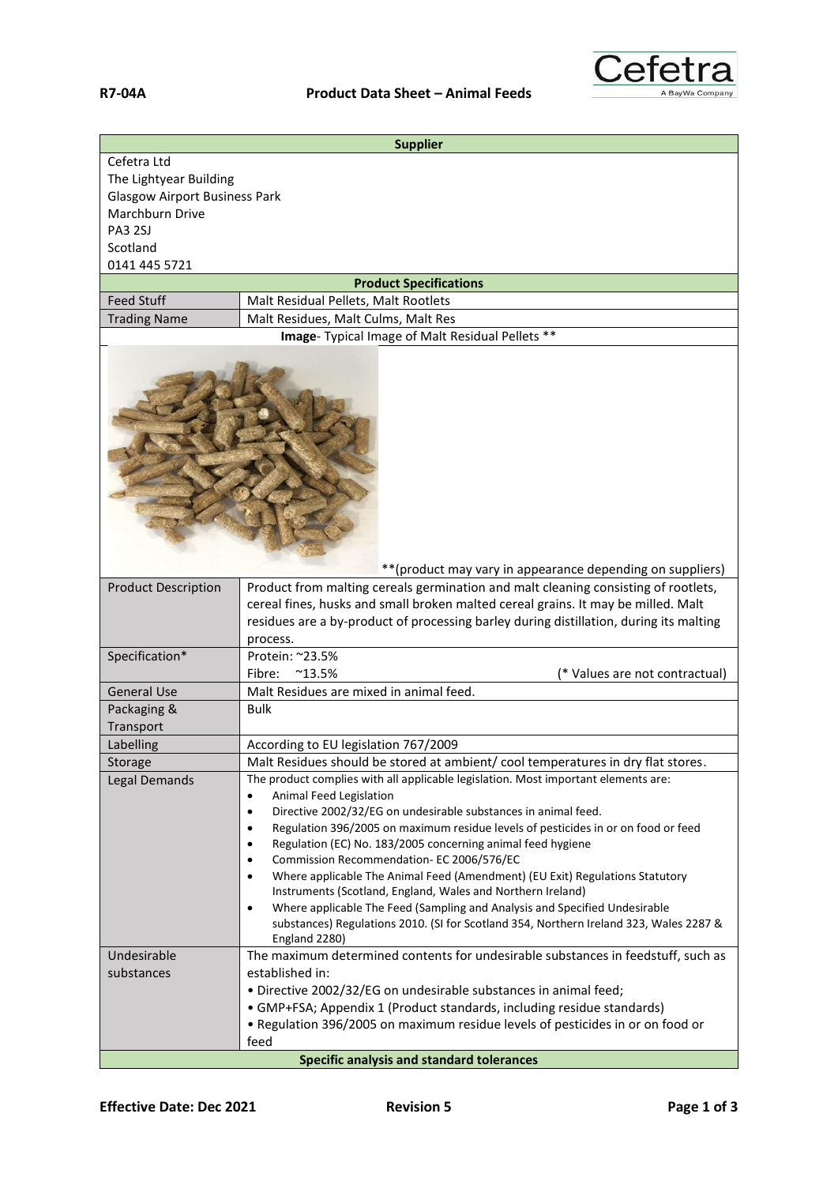

|                                                                                                                                | <b>Supplier</b>                                                                                                                                                                                                                                                                                                                                                                                                                                                                                                                                                                                                                                                                                                                                                                                                     |  |
|--------------------------------------------------------------------------------------------------------------------------------|---------------------------------------------------------------------------------------------------------------------------------------------------------------------------------------------------------------------------------------------------------------------------------------------------------------------------------------------------------------------------------------------------------------------------------------------------------------------------------------------------------------------------------------------------------------------------------------------------------------------------------------------------------------------------------------------------------------------------------------------------------------------------------------------------------------------|--|
| Cefetra Ltd<br>The Lightyear Building<br><b>Glasgow Airport Business Park</b><br>Marchburn Drive<br><b>PA3 2SJ</b><br>Scotland |                                                                                                                                                                                                                                                                                                                                                                                                                                                                                                                                                                                                                                                                                                                                                                                                                     |  |
| 0141 445 5721                                                                                                                  |                                                                                                                                                                                                                                                                                                                                                                                                                                                                                                                                                                                                                                                                                                                                                                                                                     |  |
|                                                                                                                                | <b>Product Specifications</b>                                                                                                                                                                                                                                                                                                                                                                                                                                                                                                                                                                                                                                                                                                                                                                                       |  |
| <b>Feed Stuff</b>                                                                                                              | Malt Residual Pellets, Malt Rootlets                                                                                                                                                                                                                                                                                                                                                                                                                                                                                                                                                                                                                                                                                                                                                                                |  |
| <b>Trading Name</b>                                                                                                            | Malt Residues, Malt Culms, Malt Res<br>Image- Typical Image of Malt Residual Pellets **                                                                                                                                                                                                                                                                                                                                                                                                                                                                                                                                                                                                                                                                                                                             |  |
|                                                                                                                                | ** (product may vary in appearance depending on suppliers)                                                                                                                                                                                                                                                                                                                                                                                                                                                                                                                                                                                                                                                                                                                                                          |  |
| <b>Product Description</b>                                                                                                     | Product from malting cereals germination and malt cleaning consisting of rootlets,<br>cereal fines, husks and small broken malted cereal grains. It may be milled. Malt<br>residues are a by-product of processing barley during distillation, during its malting<br>process.                                                                                                                                                                                                                                                                                                                                                                                                                                                                                                                                       |  |
| Specification*                                                                                                                 | Protein: ~23.5%                                                                                                                                                                                                                                                                                                                                                                                                                                                                                                                                                                                                                                                                                                                                                                                                     |  |
|                                                                                                                                | Fibre:<br>$^{\sim}$ 13.5%<br>(* Values are not contractual)                                                                                                                                                                                                                                                                                                                                                                                                                                                                                                                                                                                                                                                                                                                                                         |  |
| <b>General Use</b>                                                                                                             | Malt Residues are mixed in animal feed.                                                                                                                                                                                                                                                                                                                                                                                                                                                                                                                                                                                                                                                                                                                                                                             |  |
| Packaging &                                                                                                                    | <b>Bulk</b>                                                                                                                                                                                                                                                                                                                                                                                                                                                                                                                                                                                                                                                                                                                                                                                                         |  |
| Transport                                                                                                                      |                                                                                                                                                                                                                                                                                                                                                                                                                                                                                                                                                                                                                                                                                                                                                                                                                     |  |
| Labelling                                                                                                                      | According to EU legislation 767/2009<br>Malt Residues should be stored at ambient/ cool temperatures in dry flat stores.                                                                                                                                                                                                                                                                                                                                                                                                                                                                                                                                                                                                                                                                                            |  |
| Storage<br>Legal Demands                                                                                                       | The product complies with all applicable legislation. Most important elements are:<br>Animal Feed Legislation<br>$\bullet$<br>Directive 2002/32/EG on undesirable substances in animal feed.<br>$\bullet$<br>Regulation 396/2005 on maximum residue levels of pesticides in or on food or feed<br>$\bullet$<br>Regulation (EC) No. 183/2005 concerning animal feed hygiene<br>$\bullet$<br>Commission Recommendation- EC 2006/576/EC<br>$\bullet$<br>Where applicable The Animal Feed (Amendment) (EU Exit) Regulations Statutory<br>$\bullet$<br>Instruments (Scotland, England, Wales and Northern Ireland)<br>Where applicable The Feed (Sampling and Analysis and Specified Undesirable<br>$\bullet$<br>substances) Regulations 2010. (SI for Scotland 354, Northern Ireland 323, Wales 2287 &<br>England 2280) |  |
| Undesirable<br>substances                                                                                                      | The maximum determined contents for undesirable substances in feedstuff, such as<br>established in:<br>. Directive 2002/32/EG on undesirable substances in animal feed;<br>• GMP+FSA; Appendix 1 (Product standards, including residue standards)<br>. Regulation 396/2005 on maximum residue levels of pesticides in or on food or<br>feed<br>Specific analysis and standard tolerances                                                                                                                                                                                                                                                                                                                                                                                                                            |  |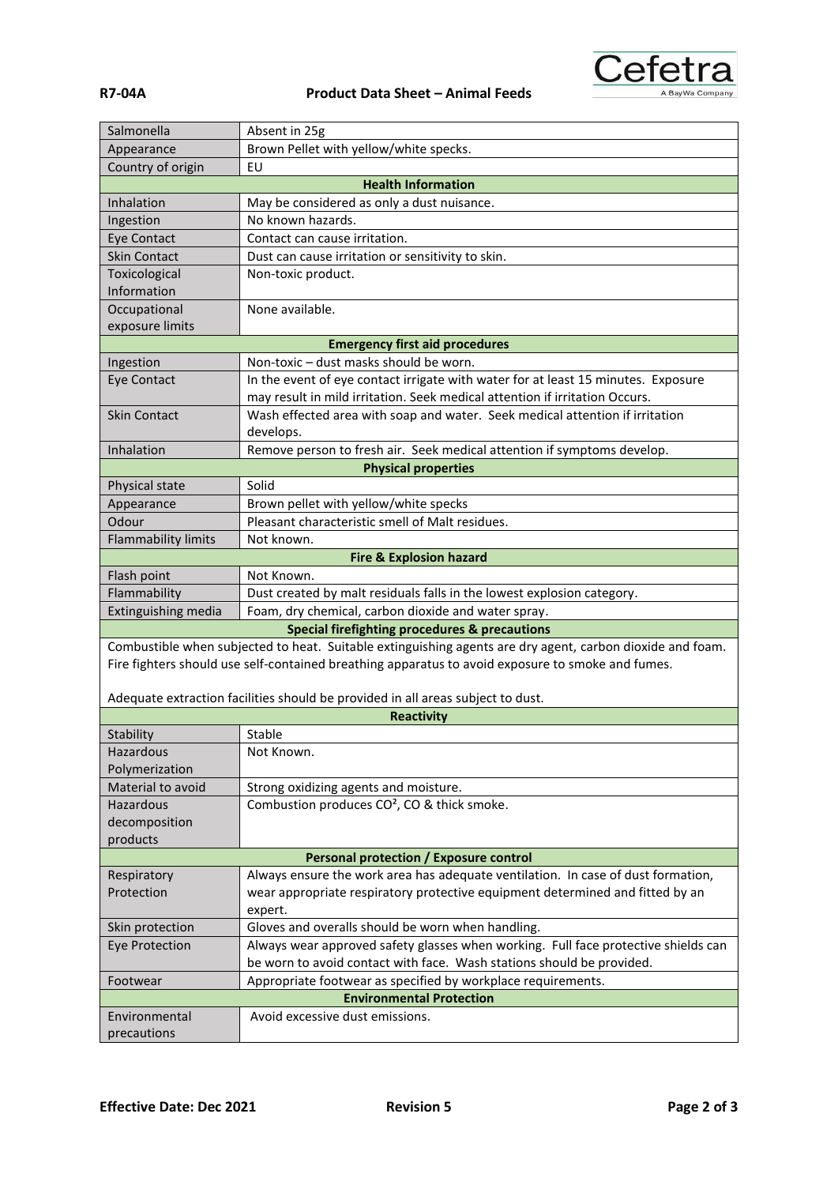



| ۰<br>I | и | ۹ |
|--------|---|---|
|        |   |   |

| Salmonella                                                               | Absent in 25g                                                                                                                                                     |  |
|--------------------------------------------------------------------------|-------------------------------------------------------------------------------------------------------------------------------------------------------------------|--|
| Appearance                                                               | Brown Pellet with yellow/white specks.                                                                                                                            |  |
| Country of origin                                                        | EU                                                                                                                                                                |  |
|                                                                          | <b>Health Information</b>                                                                                                                                         |  |
| Inhalation                                                               | May be considered as only a dust nuisance.                                                                                                                        |  |
| Ingestion                                                                | No known hazards.                                                                                                                                                 |  |
| <b>Eye Contact</b>                                                       | Contact can cause irritation.                                                                                                                                     |  |
| <b>Skin Contact</b>                                                      | Dust can cause irritation or sensitivity to skin.                                                                                                                 |  |
| Toxicological                                                            | Non-toxic product.                                                                                                                                                |  |
| Information                                                              |                                                                                                                                                                   |  |
| Occupational                                                             | None available.                                                                                                                                                   |  |
| exposure limits                                                          |                                                                                                                                                                   |  |
|                                                                          | <b>Emergency first aid procedures</b>                                                                                                                             |  |
| Ingestion                                                                | Non-toxic - dust masks should be worn.                                                                                                                            |  |
| <b>Eye Contact</b>                                                       | In the event of eye contact irrigate with water for at least 15 minutes. Exposure                                                                                 |  |
|                                                                          | may result in mild irritation. Seek medical attention if irritation Occurs.                                                                                       |  |
| <b>Skin Contact</b>                                                      | Wash effected area with soap and water. Seek medical attention if irritation                                                                                      |  |
|                                                                          | develops.                                                                                                                                                         |  |
| Inhalation                                                               | Remove person to fresh air. Seek medical attention if symptoms develop.                                                                                           |  |
|                                                                          | <b>Physical properties</b>                                                                                                                                        |  |
| Physical state                                                           | Solid                                                                                                                                                             |  |
| Appearance                                                               | Brown pellet with yellow/white specks                                                                                                                             |  |
| Odour                                                                    | Pleasant characteristic smell of Malt residues.                                                                                                                   |  |
| <b>Flammability limits</b>                                               | Not known.                                                                                                                                                        |  |
|                                                                          | <b>Fire &amp; Explosion hazard</b>                                                                                                                                |  |
| Flash point                                                              | Not Known.                                                                                                                                                        |  |
| Flammability                                                             | Dust created by malt residuals falls in the lowest explosion category.                                                                                            |  |
| Extinguishing media                                                      | Foam, dry chemical, carbon dioxide and water spray.                                                                                                               |  |
|                                                                          | Special firefighting procedures & precautions                                                                                                                     |  |
|                                                                          | Combustible when subjected to heat. Suitable extinguishing agents are dry agent, carbon dioxide and foam.                                                         |  |
|                                                                          | Fire fighters should use self-contained breathing apparatus to avoid exposure to smoke and fumes.                                                                 |  |
|                                                                          |                                                                                                                                                                   |  |
|                                                                          | Adequate extraction facilities should be provided in all areas subject to dust.                                                                                   |  |
|                                                                          | <b>Reactivity</b>                                                                                                                                                 |  |
| Stability                                                                | Stable                                                                                                                                                            |  |
| Hazardous                                                                | Not Known.                                                                                                                                                        |  |
| Polymerization                                                           |                                                                                                                                                                   |  |
| Material to avoid                                                        | Strong oxidizing agents and moisture.                                                                                                                             |  |
| Hazardous                                                                | Combustion produces CO <sup>2</sup> , CO & thick smoke.                                                                                                           |  |
| decomposition                                                            |                                                                                                                                                                   |  |
| products                                                                 |                                                                                                                                                                   |  |
|                                                                          | <b>Personal protection / Exposure control</b>                                                                                                                     |  |
| Respiratory                                                              | Always ensure the work area has adequate ventilation. In case of dust formation,<br>wear appropriate respiratory protective equipment determined and fitted by an |  |
| Protection                                                               |                                                                                                                                                                   |  |
|                                                                          | expert.<br>Gloves and overalls should be worn when handling.                                                                                                      |  |
| Skin protection                                                          |                                                                                                                                                                   |  |
| <b>Eye Protection</b>                                                    | Always wear approved safety glasses when working. Full face protective shields can<br>be worn to avoid contact with face. Wash stations should be provided.       |  |
|                                                                          |                                                                                                                                                                   |  |
| Appropriate footwear as specified by workplace requirements.<br>Footwear |                                                                                                                                                                   |  |
|                                                                          | <b>Environmental Protection</b>                                                                                                                                   |  |
| Environmental                                                            | Avoid excessive dust emissions.                                                                                                                                   |  |
| precautions                                                              |                                                                                                                                                                   |  |